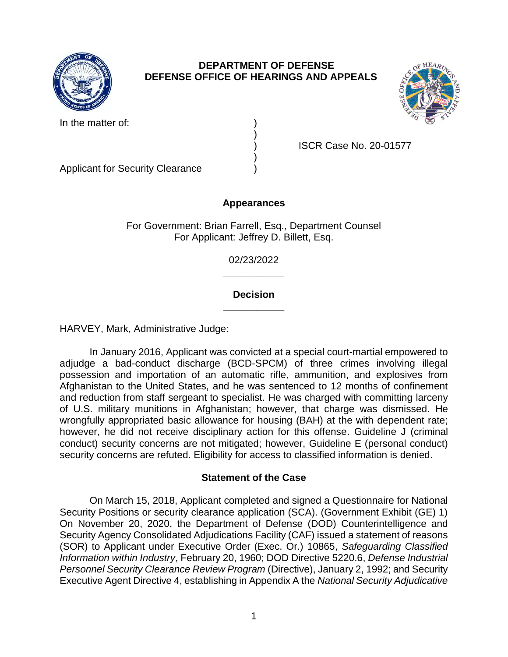

# **DEPARTMENT OF DEFENSE DEFENSE OFFICE OF HEARINGS AND APPEALS**



In the matter of:

) ISCR Case No. 20-01577

Applicant for Security Clearance )

# **Appearances**

)

)

For Government: Brian Farrell, Esq., Department Counsel For Applicant: Jeffrey D. Billett, Esq.

> **\_\_\_\_\_\_\_\_\_\_\_**  02/23/2022

## **\_\_\_\_\_\_\_\_\_\_\_ Decision**

HARVEY, Mark, Administrative Judge:

 In January 2016, Applicant was convicted at a special court-martial empowered to adjudge a bad-conduct discharge (BCD-SPCM) of three crimes involving illegal possession and importation of an automatic rifle, ammunition, and explosives from Afghanistan to the United States, and he was sentenced to 12 months of confinement and reduction from staff sergeant to specialist. He was charged with committing larceny wrongfully appropriated basic allowance for housing (BAH) at the with dependent rate; however, he did not receive disciplinary action for this offense. Guideline J (criminal conduct) security concerns are not mitigated; however, Guideline E (personal conduct) of U.S. military munitions in Afghanistan; however, that charge was dismissed. He security concerns are refuted. Eligibility for access to classified information is denied.

## **Statement of the Case**

 Security Positions or security clearance application (SCA). (Government Exhibit (GE) 1) On November 20, 2020, the Department of Defense (DOD) Counterintelligence and Security Agency Consolidated Adjudications Facility (CAF) issued a statement of reasons (SOR) to Applicant under Executive Order (Exec. Or.) 10865, *Safeguarding Classified*  Personnel Security Clearance Review Program (Directive), January 2, 1992; and Security Executive Agent Directive 4, establishing in Appendix A the *National Security Adjudicative*  On March 15, 2018, Applicant completed and signed a Questionnaire for National *Information within Industry*, February 20, 1960; DOD Directive 5220.6, *Defense Industrial*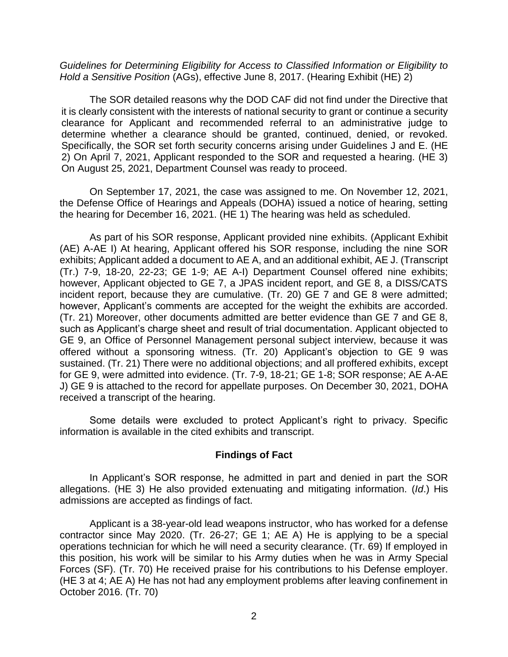*Guidelines for Determining Eligibility for Access to Classified Information or Eligibility to Hold a Sensitive Position* (AGs), effective June 8, 2017. (Hearing Exhibit (HE) 2)

The SOR detailed reasons why the DOD CAF did not find under the Directive that it is clearly consistent with the interests of national security to grant or continue a security clearance for Applicant and recommended referral to an administrative judge to determine whether a clearance should be granted, continued, denied, or revoked. Specifically, the SOR set forth security concerns arising under Guidelines J and E. (HE 2) On April 7, 2021, Applicant responded to the SOR and requested a hearing. (HE 3) On August 25, 2021, Department Counsel was ready to proceed.

 On September 17, 2021, the case was assigned to me. On November 12, 2021, the Defense Office of Hearings and Appeals (DOHA) issued a notice of hearing, setting the hearing for December 16, 2021. (HE 1) The hearing was held as scheduled.

As part of his SOR response, Applicant provided nine exhibits. (Applicant Exhibit (AE) A-AE I) At hearing, Applicant offered his SOR response, including the nine SOR exhibits; Applicant added a document to AE A, and an additional exhibit, AE J. (Transcript (Tr.) 7-9, 18-20, 22-23; GE 1-9; AE A-I) Department Counsel offered nine exhibits; however, Applicant objected to GE 7, a JPAS incident report, and GE 8, a DISS/CATS incident report, because they are cumulative. (Tr. 20) GE 7 and GE 8 were admitted; however, Applicant's comments are accepted for the weight the exhibits are accorded. (Tr. 21) Moreover, other documents admitted are better evidence than GE 7 and GE 8, such as Applicant's charge sheet and result of trial documentation. Applicant objected to GE 9, an Office of Personnel Management personal subject interview, because it was offered without a sponsoring witness. (Tr. 20) Applicant's objection to GE 9 was sustained. (Tr. 21) There were no additional objections; and all proffered exhibits, except for GE 9, were admitted into evidence. (Tr. 7-9, 18-21; GE 1-8; SOR response; AE A-AE J) GE 9 is attached to the record for appellate purposes. On December 30, 2021, DOHA received a transcript of the hearing.

Some details were excluded to protect Applicant's right to privacy. Specific information is available in the cited exhibits and transcript.

## **Findings of Fact**

 In Applicant's SOR response, he admitted in part and denied in part the SOR allegations. (HE 3) He also provided extenuating and mitigating information. (*Id*.) His admissions are accepted as findings of fact.

 contractor since May 2020. (Tr. 26-27; GE 1; AE A) He is applying to be a special operations technician for which he will need a security clearance. (Tr. 69) If employed in this position, his work will be similar to his Army duties when he was in Army Special Forces (SF). (Tr. 70) He received praise for his contributions to his Defense employer. (HE 3 at 4; AE A) He has not had any employment problems after leaving confinement in Applicant is a 38-year-old lead weapons instructor, who has worked for a defense October 2016. (Tr. 70)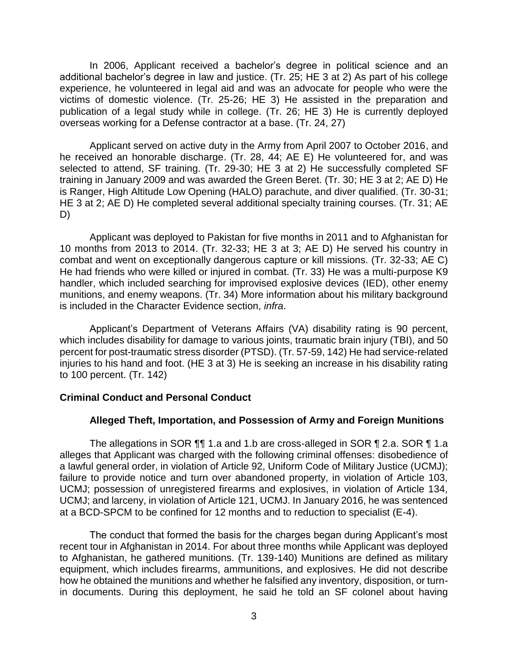In 2006, Applicant received a bachelor's degree in political science and an additional bachelor's degree in law and justice. (Tr. 25; HE 3 at 2) As part of his college experience, he volunteered in legal aid and was an advocate for people who were the victims of domestic violence. (Tr. 25-26; HE 3) He assisted in the preparation and publication of a legal study while in college. (Tr. 26; HE 3) He is currently deployed overseas working for a Defense contractor at a base. (Tr. 24, 27)

 Applicant served on active duty in the Army from April 2007 to October 2016, and he received an honorable discharge. (Tr. 28, 44; AE E) He volunteered for, and was selected to attend, SF training. (Tr. 29-30; HE 3 at 2) He successfully completed SF training in January 2009 and was awarded the Green Beret. (Tr. 30; HE 3 at 2; AE D) He HE 3 at 2; AE D) He completed several additional specialty training courses. (Tr. 31; AE is Ranger, High Altitude Low Opening (HALO) parachute, and diver qualified. (Tr. 30-31; D)

 Applicant was deployed to Pakistan for five months in 2011 and to Afghanistan for 10 months from 2013 to 2014. (Tr. 32-33; HE 3 at 3; AE D) He served his country in combat and went on exceptionally dangerous capture or kill missions. (Tr. 32-33; AE C) He had friends who were killed or injured in combat. (Tr. 33) He was a multi-purpose K9 handler, which included searching for improvised explosive devices (IED), other enemy munitions, and enemy weapons. (Tr. 34) More information about his military background is included in the Character Evidence section, *infra*.

 Applicant's Department of Veterans Affairs (VA) disability rating is 90 percent, which includes disability for damage to various joints, traumatic brain injury (TBI), and 50 percent for post-traumatic stress disorder (PTSD). (Tr. 57-59, 142) He had service-related injuries to his hand and foot. (HE 3 at 3) He is seeking an increase in his disability rating to 100 percent. (Tr. 142)

## **Criminal Conduct and Personal Conduct**

## **Alleged Theft, Importation, and Possession of Army and Foreign Munitions**

 The allegations in SOR ¶¶ 1.a and 1.b are cross-alleged in SOR ¶ 2.a. SOR ¶ 1.a alleges that Applicant was charged with the following criminal offenses: disobedience of a lawful general order, in violation of Article 92, Uniform Code of Military Justice (UCMJ); failure to provide notice and turn over abandoned property, in violation of Article 103, UCMJ; possession of unregistered firearms and explosives, in violation of Article 134, UCMJ; and larceny, in violation of Article 121, UCMJ. In January 2016, he was sentenced at a BCD-SPCM to be confined for 12 months and to reduction to specialist (E-4).

 The conduct that formed the basis for the charges began during Applicant's most to Afghanistan, he gathered munitions. (Tr. 139-140) Munitions are defined as military how he obtained the munitions and whether he falsified any inventory, disposition, or turn- in documents. During this deployment, he said he told an SF colonel about having recent tour in Afghanistan in 2014. For about three months while Applicant was deployed equipment, which includes firearms, ammunitions, and explosives. He did not describe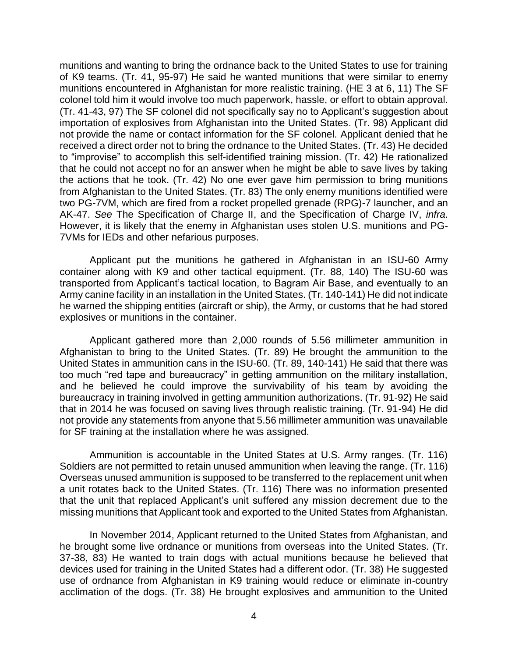munitions and wanting to bring the ordnance back to the United States to use for training of K9 teams. (Tr. 41, 95-97) He said he wanted munitions that were similar to enemy munitions encountered in Afghanistan for more realistic training. (HE 3 at 6, 11) The SF colonel told him it would involve too much paperwork, hassle, or effort to obtain approval. (Tr. 41-43, 97) The SF colonel did not specifically say no to Applicant's suggestion about importation of explosives from Afghanistan into the United States. (Tr. 98) Applicant did not provide the name or contact information for the SF colonel. Applicant denied that he received a direct order not to bring the ordnance to the United States. (Tr. 43) He decided to "improvise" to accomplish this self-identified training mission. (Tr. 42) He rationalized that he could not accept no for an answer when he might be able to save lives by taking the actions that he took. (Tr. 42) No one ever gave him permission to bring munitions from Afghanistan to the United States. (Tr. 83) The only enemy munitions identified were two PG-7VM, which are fired from a rocket propelled grenade (RPG)-7 launcher, and an AK-47. *See* The Specification of Charge II, and the Specification of Charge IV, *infra*. However, it is likely that the enemy in Afghanistan uses stolen U.S. munitions and PG-7VMs for IEDs and other nefarious purposes.

 Applicant put the munitions he gathered in Afghanistan in an ISU-60 Army container along with K9 and other tactical equipment. (Tr. 88, 140) The ISU-60 was transported from Applicant's tactical location, to Bagram Air Base, and eventually to an Army canine facility in an installation in the United States. (Tr. 140-141) He did not indicate he warned the shipping entities (aircraft or ship), the Army, or customs that he had stored explosives or munitions in the container.

 Applicant gathered more than 2,000 rounds of 5.56 millimeter ammunition in Afghanistan to bring to the United States. (Tr. 89) He brought the ammunition to the too much "red tape and bureaucracy" in getting ammunition on the military installation, and he believed he could improve the survivability of his team by avoiding the bureaucracy in training involved in getting ammunition authorizations. (Tr. 91-92) He said that in 2014 he was focused on saving lives through realistic training. (Tr. 91-94) He did not provide any statements from anyone that 5.56 millimeter ammunition was unavailable United States in ammunition cans in the ISU-60. (Tr. 89, 140-141) He said that there was for SF training at the installation where he was assigned.

 Ammunition is accountable in the United States at U.S. Army ranges. (Tr. 116) Soldiers are not permitted to retain unused ammunition when leaving the range. (Tr. 116) Overseas unused ammunition is supposed to be transferred to the replacement unit when a unit rotates back to the United States. (Tr. 116) There was no information presented that the unit that replaced Applicant's unit suffered any mission decrement due to the missing munitions that Applicant took and exported to the United States from Afghanistan.

 In November 2014, Applicant returned to the United States from Afghanistan, and he brought some live ordnance or munitions from overseas into the United States. (Tr. 37-38, 83) He wanted to train dogs with actual munitions because he believed that devices used for training in the United States had a different odor. (Tr. 38) He suggested use of ordnance from Afghanistan in K9 training would reduce or eliminate in-country acclimation of the dogs. (Tr. 38) He brought explosives and ammunition to the United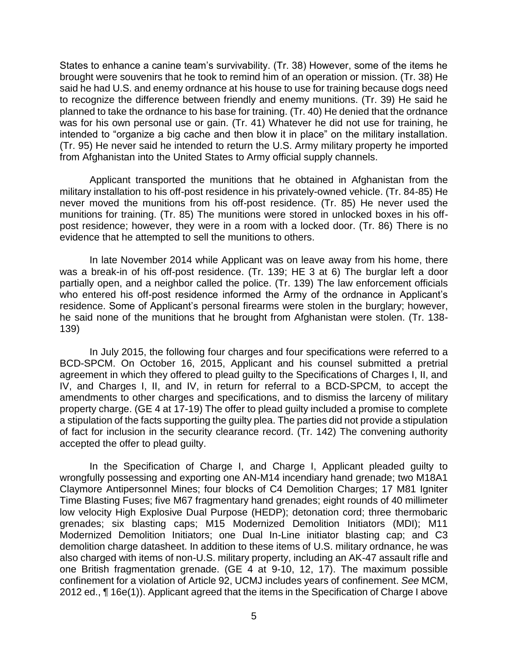States to enhance a canine team's survivability. (Tr. 38) However, some of the items he brought were souvenirs that he took to remind him of an operation or mission. (Tr. 38) He said he had U.S. and enemy ordnance at his house to use for training because dogs need to recognize the difference between friendly and enemy munitions. (Tr. 39) He said he planned to take the ordnance to his base for training. (Tr. 40) He denied that the ordnance was for his own personal use or gain. (Tr. 41) Whatever he did not use for training, he intended to "organize a big cache and then blow it in place" on the military installation. (Tr. 95) He never said he intended to return the U.S. Army military property he imported from Afghanistan into the United States to Army official supply channels.

 Applicant transported the munitions that he obtained in Afghanistan from the military installation to his off-post residence in his privately-owned vehicle. (Tr. 84-85) He never moved the munitions from his off-post residence. (Tr. 85) He never used the munitions for training. (Tr. 85) The munitions were stored in unlocked boxes in his off- post residence; however, they were in a room with a locked door. (Tr. 86) There is no evidence that he attempted to sell the munitions to others.

In late November 2014 while Applicant was on leave away from his home, there was a break-in of his off-post residence. (Tr. 139; HE 3 at 6) The burglar left a door partially open, and a neighbor called the police. (Tr. 139) The law enforcement officials who entered his off-post residence informed the Army of the ordnance in Applicant's residence. Some of Applicant's personal firearms were stolen in the burglary; however, he said none of the munitions that he brought from Afghanistan were stolen. (Tr. 138- 139)

 In July 2015, the following four charges and four specifications were referred to a BCD-SPCM. On October 16, 2015, Applicant and his counsel submitted a pretrial IV, and Charges I, II, and IV, in return for referral to a BCD-SPCM, to accept the amendments to other charges and specifications, and to dismiss the larceny of military property charge. (GE 4 at 17-19) The offer to plead guilty included a promise to complete a stipulation of the facts supporting the guilty plea. The parties did not provide a stipulation of fact for inclusion in the security clearance record. (Tr. 142) The convening authority accepted the offer to plead guilty. agreement in which they offered to plead guilty to the Specifications of Charges I, II, and

 In the Specification of Charge I, and Charge I, Applicant pleaded guilty to wrongfully possessing and exporting one AN-M14 incendiary hand grenade; two M18A1 Claymore Antipersonnel Mines; four blocks of C4 Demolition Charges; 17 M81 Igniter Time Blasting Fuses; five M67 fragmentary hand grenades; eight rounds of 40 millimeter low velocity High Explosive Dual Purpose (HEDP); detonation cord; three thermobaric grenades; six blasting caps; M15 Modernized Demolition Initiators (MDI); M11 Modernized Demolition Initiators; one Dual In-Line initiator blasting cap; and C3 demolition charge datasheet. In addition to these items of U.S. military ordnance, he was also charged with items of non-U.S. military property, including an AK-47 assault rifle and one British fragmentation grenade. (GE 4 at 9-10, 12, 17). The maximum possible confinement for a violation of Article 92, UCMJ includes years of confinement. *See* MCM, 2012 ed., ¶ 16e(1)). Applicant agreed that the items in the Specification of Charge I above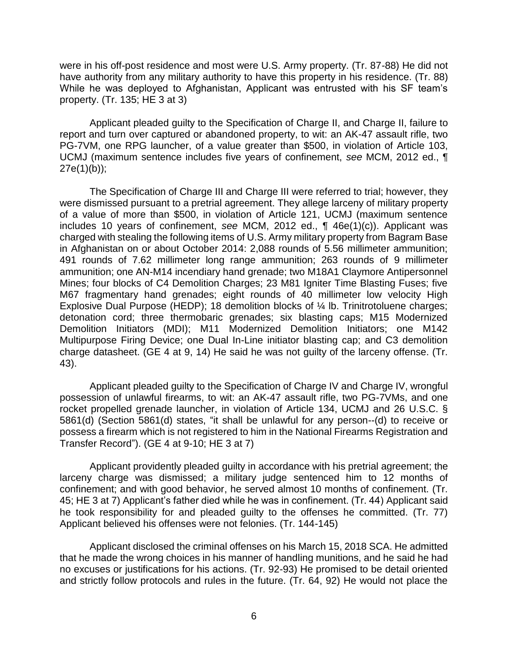were in his off-post residence and most were U.S. Army property. (Tr. 87-88) He did not have authority from any military authority to have this property in his residence. (Tr. 88) While he was deployed to Afghanistan, Applicant was entrusted with his SF team's property. (Tr. 135; HE 3 at 3)

 Applicant pleaded guilty to the Specification of Charge II, and Charge II, failure to report and turn over captured or abandoned property, to wit: an AK-47 assault rifle, two PG-7VM, one RPG launcher, of a value greater than \$500, in violation of Article 103, UCMJ (maximum sentence includes five years of confinement, *see* MCM, 2012 ed., ¶ 27e(1)(b));

 The Specification of Charge III and Charge III were referred to trial; however, they were dismissed pursuant to a pretrial agreement. They allege larceny of military property of a value of more than \$500, in violation of Article 121, UCMJ (maximum sentence includes 10 years of confinement, *see* MCM, 2012 ed., ¶ 46e(1)(c)). Applicant was charged with stealing the following items of U.S. Army military property from Bagram Base in Afghanistan on or about October 2014: 2,088 rounds of 5.56 millimeter ammunition; 491 rounds of 7.62 millimeter long range ammunition; 263 rounds of 9 millimeter ammunition; one AN-M14 incendiary hand grenade; two M18A1 Claymore Antipersonnel Mines; four blocks of C4 Demolition Charges; 23 M81 Igniter Time Blasting Fuses; five M67 fragmentary hand grenades; eight rounds of 40 millimeter low velocity High Explosive Dual Purpose (HEDP); 18 demolition blocks of ¼ lb. Trinitrotoluene charges; detonation cord; three thermobaric grenades; six blasting caps; M15 Modernized Demolition Initiators (MDI); M11 Modernized Demolition Initiators; one M142 Multipurpose Firing Device; one Dual In-Line initiator blasting cap; and C3 demolition charge datasheet. (GE 4 at 9, 14) He said he was not guilty of the larceny offense. (Tr. 43).

 Applicant pleaded guilty to the Specification of Charge IV and Charge IV, wrongful possession of unlawful firearms, to wit: an AK-47 assault rifle, two PG-7VMs, and one rocket propelled grenade launcher, in violation of Article 134, UCMJ and 26 U.S.C. § 5861(d) (Section 5861(d) states, "it shall be unlawful for any person--(d) to receive or possess a firearm which is not registered to him in the National Firearms Registration and Transfer Record"). (GE 4 at 9-10; HE 3 at 7)

 Applicant providently pleaded guilty in accordance with his pretrial agreement; the larceny charge was dismissed; a military judge sentenced him to 12 months of confinement; and with good behavior, he served almost 10 months of confinement. (Tr. 45; HE 3 at 7) Applicant's father died while he was in confinement. (Tr. 44) Applicant said he took responsibility for and pleaded guilty to the offenses he committed. (Tr. 77) Applicant believed his offenses were not felonies. (Tr. 144-145)

 Applicant disclosed the criminal offenses on his March 15, 2018 SCA. He admitted that he made the wrong choices in his manner of handling munitions, and he said he had no excuses or justifications for his actions. (Tr. 92-93) He promised to be detail oriented and strictly follow protocols and rules in the future. (Tr. 64, 92) He would not place the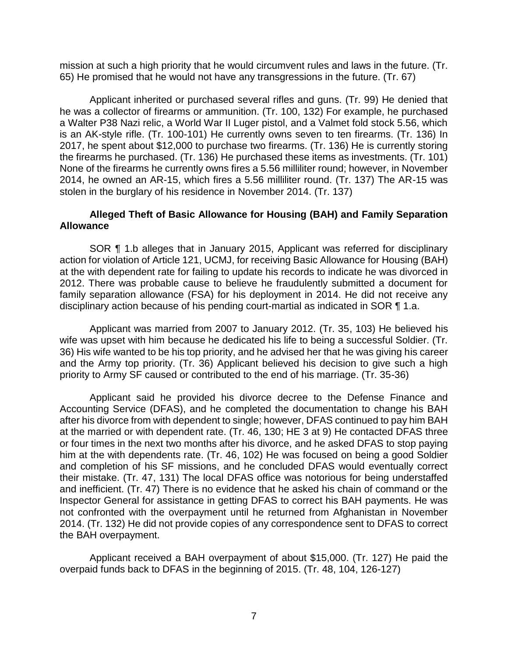mission at such a high priority that he would circumvent rules and laws in the future. (Tr. 65) He promised that he would not have any transgressions in the future. (Tr. 67)

 Applicant inherited or purchased several rifles and guns. (Tr. 99) He denied that he was a collector of firearms or ammunition. (Tr. 100, 132) For example, he purchased a Walter P38 Nazi relic, a World War II Luger pistol, and a Valmet fold stock 5.56, which is an AK-style rifle. (Tr. 100-101) He currently owns seven to ten firearms. (Tr. 136) In 2017, he spent about \$12,000 to purchase two firearms. (Tr. 136) He is currently storing the firearms he purchased. (Tr. 136) He purchased these items as investments. (Tr. 101) None of the firearms he currently owns fires a 5.56 milliliter round; however, in November 2014, he owned an AR-15, which fires a 5.56 milliliter round. (Tr. 137) The AR-15 was stolen in the burglary of his residence in November 2014. (Tr. 137)

## **Alleged Theft of Basic Allowance for Housing (BAH) and Family Separation Allowance**

SOR ¶ 1.b alleges that in January 2015, Applicant was referred for disciplinary action for violation of Article 121, UCMJ, for receiving Basic Allowance for Housing (BAH) at the with dependent rate for failing to update his records to indicate he was divorced in 2012. There was probable cause to believe he fraudulently submitted a document for family separation allowance (FSA) for his deployment in 2014. He did not receive any disciplinary action because of his pending court-martial as indicated in SOR ¶ 1.a.

Applicant was married from 2007 to January 2012. (Tr. 35, 103) He believed his wife was upset with him because he dedicated his life to being a successful Soldier. (Tr. 36) His wife wanted to be his top priority, and he advised her that he was giving his career and the Army top priority. (Tr. 36) Applicant believed his decision to give such a high priority to Army SF caused or contributed to the end of his marriage. (Tr. 35-36)

 Applicant said he provided his divorce decree to the Defense Finance and Accounting Service (DFAS), and he completed the documentation to change his BAH after his divorce from with dependent to single; however, DFAS continued to pay him BAH at the married or with dependent rate. (Tr. 46, 130; HE 3 at 9) He contacted DFAS three or four times in the next two months after his divorce, and he asked DFAS to stop paying him at the with dependents rate. (Tr. 46, 102) He was focused on being a good Soldier and completion of his SF missions, and he concluded DFAS would eventually correct and inefficient. (Tr. 47) There is no evidence that he asked his chain of command or the Inspector General for assistance in getting DFAS to correct his BAH payments. He was not confronted with the overpayment until he returned from Afghanistan in November 2014. (Tr. 132) He did not provide copies of any correspondence sent to DFAS to correct their mistake. (Tr. 47, 131) The local DFAS office was notorious for being understaffed the BAH overpayment.

 Applicant received a BAH overpayment of about \$15,000. (Tr. 127) He paid the overpaid funds back to DFAS in the beginning of 2015. (Tr. 48, 104, 126-127)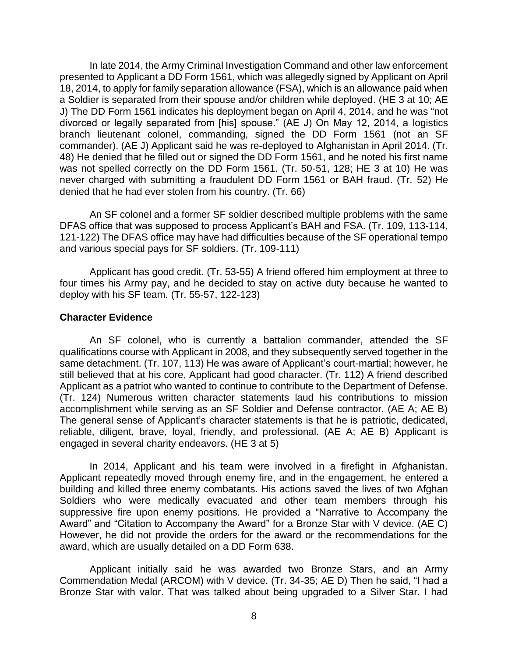In late 2014, the Army Criminal Investigation Command and other law enforcement presented to Applicant a DD Form 1561, which was allegedly signed by Applicant on April 18, 2014, to apply for family separation allowance (FSA), which is an allowance paid when a Soldier is separated from their spouse and/or children while deployed. (HE 3 at 10; AE J) The DD Form 1561 indicates his deployment began on April 4, 2014, and he was "not divorced or legally separated from [his] spouse." (AE J) On May 12, 2014, a logistics branch lieutenant colonel, commanding, signed the DD Form 1561 (not an SF commander). (AE J) Applicant said he was re-deployed to Afghanistan in April 2014. (Tr. 48) He denied that he filled out or signed the DD Form 1561, and he noted his first name was not spelled correctly on the DD Form 1561. (Tr. 50-51, 128; HE 3 at 10) He was never charged with submitting a fraudulent DD Form 1561 or BAH fraud. (Tr. 52) He denied that he had ever stolen from his country. (Tr. 66)

 An SF colonel and a former SF soldier described multiple problems with the same 121-122) The DFAS office may have had difficulties because of the SF operational tempo DFAS office that was supposed to process Applicant's BAH and FSA. (Tr. 109, 113-114, and various special pays for SF soldiers. (Tr. 109-111)

 Applicant has good credit. (Tr. 53-55) A friend offered him employment at three to four times his Army pay, and he decided to stay on active duty because he wanted to deploy with his SF team. (Tr. 55-57, 122-123)

### **Character Evidence**

 An SF colonel, who is currently a battalion commander, attended the SF qualifications course with Applicant in 2008, and they subsequently served together in the same detachment. (Tr. 107, 113) He was aware of Applicant's court-martial; however, he still believed that at his core, Applicant had good character. (Tr. 112) A friend described Applicant as a patriot who wanted to continue to contribute to the Department of Defense. (Tr. 124) Numerous written character statements laud his contributions to mission accomplishment while serving as an SF Soldier and Defense contractor. (AE A; AE B) The general sense of Applicant's character statements is that he is patriotic, dedicated, reliable, diligent, brave, loyal, friendly, and professional. (AE A; AE B) Applicant is engaged in several charity endeavors. (HE 3 at 5)

 In 2014, Applicant and his team were involved in a firefight in Afghanistan. Applicant repeatedly moved through enemy fire, and in the engagement, he entered a building and killed three enemy combatants. His actions saved the lives of two Afghan Soldiers who were medically evacuated and other team members through his suppressive fire upon enemy positions. He provided a "Narrative to Accompany the Award" and "Citation to Accompany the Award" for a Bronze Star with V device. (AE C) However, he did not provide the orders for the award or the recommendations for the award, which are usually detailed on a DD Form 638.

 Applicant initially said he was awarded two Bronze Stars, and an Army Commendation Medal (ARCOM) with V device. (Tr. 34-35; AE D) Then he said, "I had a Bronze Star with valor. That was talked about being upgraded to a Silver Star. I had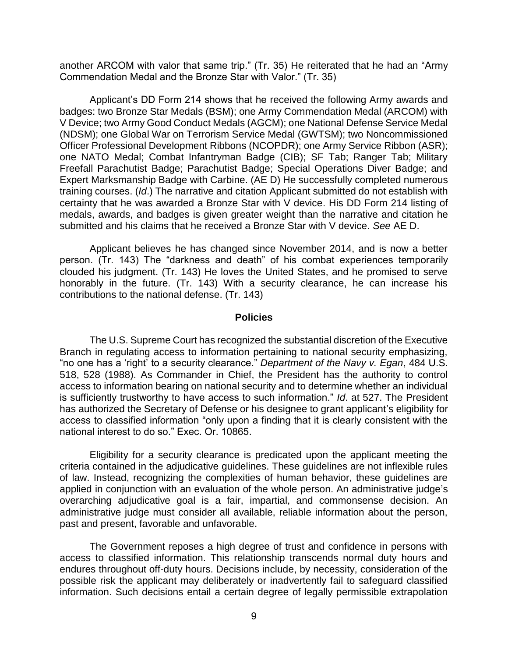another ARCOM with valor that same trip." (Tr. 35) He reiterated that he had an "Army Commendation Medal and the Bronze Star with Valor." (Tr. 35)

 Applicant's DD Form 214 shows that he received the following Army awards and badges: two Bronze Star Medals (BSM); one Army Commendation Medal (ARCOM) with V Device; two Army Good Conduct Medals (AGCM); one National Defense Service Medal (NDSM); one Global War on Terrorism Service Medal (GWTSM); two Noncommissioned Officer Professional Development Ribbons (NCOPDR); one Army Service Ribbon (ASR); one NATO Medal; Combat Infantryman Badge (CIB); SF Tab; Ranger Tab; Military Expert Marksmanship Badge with Carbine. (AE D) He successfully completed numerous training courses. (*Id*.) The narrative and citation Applicant submitted do not establish with certainty that he was awarded a Bronze Star with V device. His DD Form 214 listing of medals, awards, and badges is given greater weight than the narrative and citation he Freefall Parachutist Badge; Parachutist Badge; Special Operations Diver Badge; and submitted and his claims that he received a Bronze Star with V device. *See* AE D.

 Applicant believes he has changed since November 2014, and is now a better person. (Tr. 143) The "darkness and death" of his combat experiences temporarily clouded his judgment. (Tr. 143) He loves the United States, and he promised to serve honorably in the future. (Tr. 143) With a security clearance, he can increase his contributions to the national defense. (Tr. 143)

### **Policies**

 The U.S. Supreme Court has recognized the substantial discretion of the Executive Branch in regulating access to information pertaining to national security emphasizing, "no one has a 'right' to a security clearance." *Department of the Navy v. Egan*, 484 U.S. 518, 528 (1988). As Commander in Chief, the President has the authority to control access to information bearing on national security and to determine whether an individual is sufficiently trustworthy to have access to such information." *Id*. at 527. The President has authorized the Secretary of Defense or his designee to grant applicant's eligibility for access to classified information "only upon a finding that it is clearly consistent with the national interest to do so." Exec. Or. 10865.

 Eligibility for a security clearance is predicated upon the applicant meeting the criteria contained in the adjudicative guidelines. These guidelines are not inflexible rules of law. Instead, recognizing the complexities of human behavior, these guidelines are applied in conjunction with an evaluation of the whole person. An administrative judge's overarching adjudicative goal is a fair, impartial, and commonsense decision. An administrative judge must consider all available, reliable information about the person, past and present, favorable and unfavorable.

 The Government reposes a high degree of trust and confidence in persons with access to classified information. This relationship transcends normal duty hours and endures throughout off-duty hours. Decisions include, by necessity, consideration of the possible risk the applicant may deliberately or inadvertently fail to safeguard classified information. Such decisions entail a certain degree of legally permissible extrapolation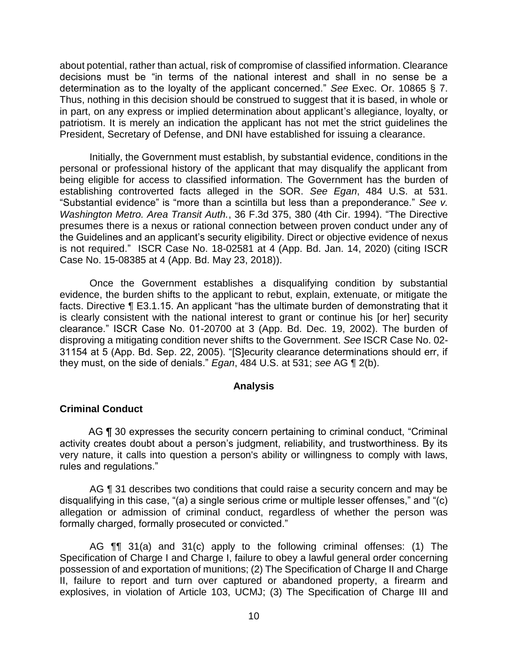about potential, rather than actual, risk of compromise of classified information. Clearance decisions must be "in terms of the national interest and shall in no sense be a determination as to the loyalty of the applicant concerned." *See* Exec. Or. 10865 § 7. Thus, nothing in this decision should be construed to suggest that it is based, in whole or in part, on any express or implied determination about applicant's allegiance, loyalty, or patriotism. It is merely an indication the applicant has not met the strict guidelines the President, Secretary of Defense, and DNI have established for issuing a clearance.

 Initially, the Government must establish, by substantial evidence, conditions in the personal or professional history of the applicant that may disqualify the applicant from being eligible for access to classified information. The Government has the burden of establishing controverted facts alleged in the SOR. *See Egan*, 484 U.S. at 531. "Substantial evidence" is "more than a scintilla but less than a preponderance." *See v. Washington Metro. Area Transit Auth.*, 36 F.3d 375, 380 (4th Cir. 1994). "The Directive presumes there is a nexus or rational connection between proven conduct under any of the Guidelines and an applicant's security eligibility. Direct or objective evidence of nexus is not required." ISCR Case No. 18-02581 at 4 (App. Bd. Jan. 14, 2020) (citing ISCR Case No. 15-08385 at 4 (App. Bd. May 23, 2018)).

Once the Government establishes a disqualifying condition by substantial evidence, the burden shifts to the applicant to rebut, explain, extenuate, or mitigate the facts. Directive ¶ E3.1.15. An applicant "has the ultimate burden of demonstrating that it is clearly consistent with the national interest to grant or continue his [or her] security clearance." ISCR Case No. 01-20700 at 3 (App. Bd. Dec. 19, 2002). The burden of disproving a mitigating condition never shifts to the Government. *See* ISCR Case No. 02- 31154 at 5 (App. Bd. Sep. 22, 2005). "[S]ecurity clearance determinations should err, if they must, on the side of denials." *Egan*, 484 U.S. at 531; *see* AG ¶ 2(b).

### **Analysis**

## **Criminal Conduct**

AG ¶ 30 expresses the security concern pertaining to criminal conduct, "Criminal activity creates doubt about a person's judgment, reliability, and trustworthiness. By its very nature, it calls into question a person's ability or willingness to comply with laws, rules and regulations."

AG **[1** 31 describes two conditions that could raise a security concern and may be disqualifying in this case, "(a) a single serious crime or multiple lesser offenses," and "(c) allegation or admission of criminal conduct, regardless of whether the person was formally charged, formally prosecuted or convicted."

 AG ¶¶ 31(a) and 31(c) apply to the following criminal offenses: (1) The Specification of Charge I and Charge I, failure to obey a lawful general order concerning possession of and exportation of munitions; (2) The Specification of Charge II and Charge II, failure to report and turn over captured or abandoned property, a firearm and explosives, in violation of Article 103, UCMJ; (3) The Specification of Charge III and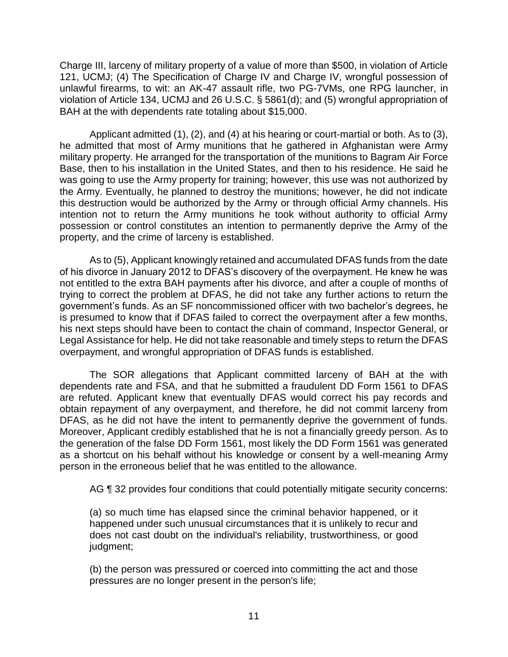Charge III, larceny of military property of a value of more than \$500, in violation of Article 121, UCMJ; (4) The Specification of Charge IV and Charge IV, wrongful possession of unlawful firearms, to wit: an AK-47 assault rifle, two PG-7VMs, one RPG launcher, in violation of Article 134, UCMJ and 26 U.S.C. § 5861(d); and (5) wrongful appropriation of BAH at the with dependents rate totaling about \$15,000.

 Applicant admitted (1), (2), and (4) at his hearing or court-martial or both. As to (3), he admitted that most of Army munitions that he gathered in Afghanistan were Army military property. He arranged for the transportation of the munitions to Bagram Air Force Base, then to his installation in the United States, and then to his residence. He said he was going to use the Army property for training; however, this use was not authorized by the Army. Eventually, he planned to destroy the munitions; however, he did not indicate this destruction would be authorized by the Army or through official Army channels. His intention not to return the Army munitions he took without authority to official Army possession or control constitutes an intention to permanently deprive the Army of the property, and the crime of larceny is established.

As to (5), Applicant knowingly retained and accumulated DFAS funds from the date of his divorce in January 2012 to DFAS's discovery of the overpayment. He knew he was not entitled to the extra BAH payments after his divorce, and after a couple of months of trying to correct the problem at DFAS, he did not take any further actions to return the government's funds. As an SF noncommissioned officer with two bachelor's degrees, he is presumed to know that if DFAS failed to correct the overpayment after a few months, his next steps should have been to contact the chain of command, Inspector General, or Legal Assistance for help. He did not take reasonable and timely steps to return the DFAS overpayment, and wrongful appropriation of DFAS funds is established.

 The SOR allegations that Applicant committed larceny of BAH at the with dependents rate and FSA, and that he submitted a fraudulent DD Form 1561 to DFAS are refuted. Applicant knew that eventually DFAS would correct his pay records and obtain repayment of any overpayment, and therefore, he did not commit larceny from DFAS, as he did not have the intent to permanently deprive the government of funds. the generation of the false DD Form 1561, most likely the DD Form 1561 was generated as a shortcut on his behalf without his knowledge or consent by a well-meaning Army person in the erroneous belief that he was entitled to the allowance. person in the erroneous belief that he was entitled to the allowance.<br>AG ¶ 32 provides four conditions that could potentially mitigate security concerns: Moreover, Applicant credibly established that he is not a financially greedy person. As to

 (a) so much time has elapsed since the criminal behavior happened, or it happened under such unusual circumstances that it is unlikely to recur and does not cast doubt on the individual's reliability, trustworthiness, or good judgment;

(b) the person was pressured or coerced into committing the act and those pressures are no longer present in the person's life;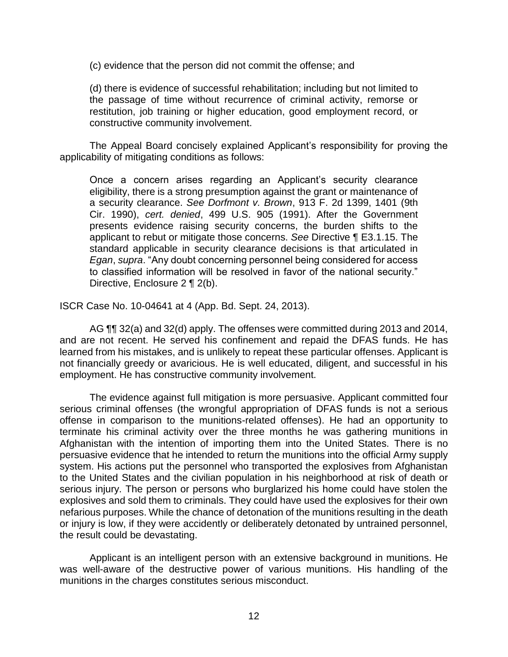(c) evidence that the person did not commit the offense; and

 (d) there is evidence of successful rehabilitation; including but not limited to the passage of time without recurrence of criminal activity, remorse or restitution, job training or higher education, good employment record, or constructive community involvement.

 The Appeal Board concisely explained Applicant's responsibility for proving the applicability of mitigating conditions as follows:

Once a concern arises regarding an Applicant's security clearance eligibility, there is a strong presumption against the grant or maintenance of a security clearance. *See Dorfmont v. Brown*, 913 F. 2d 1399, 1401 (9th Cir. 1990), *cert. denied*, 499 U.S. 905 (1991). After the Government presents evidence raising security concerns, the burden shifts to the applicant to rebut or mitigate those concerns. *See* Directive ¶ E3.1.15. The standard applicable in security clearance decisions is that articulated in *Egan*, *supra*. "Any doubt concerning personnel being considered for access to classified information will be resolved in favor of the national security." Directive, Enclosure 2 ¶ 2(b).

ISCR Case No. 10-04641 at 4 (App. Bd. Sept. 24, 2013).

 AG ¶¶ 32(a) and 32(d) apply. The offenses were committed during 2013 and 2014, and are not recent. He served his confinement and repaid the DFAS funds. He has learned from his mistakes, and is unlikely to repeat these particular offenses. Applicant is not financially greedy or avaricious. He is well educated, diligent, and successful in his employment. He has constructive community involvement.

 The evidence against full mitigation is more persuasive. Applicant committed four serious criminal offenses (the wrongful appropriation of DFAS funds is not a serious offense in comparison to the munitions-related offenses). He had an opportunity to terminate his criminal activity over the three months he was gathering munitions in Afghanistan with the intention of importing them into the United States. There is no persuasive evidence that he intended to return the munitions into the official Army supply system. His actions put the personnel who transported the explosives from Afghanistan to the United States and the civilian population in his neighborhood at risk of death or serious injury. The person or persons who burglarized his home could have stolen the explosives and sold them to criminals. They could have used the explosives for their own nefarious purposes. While the chance of detonation of the munitions resulting in the death or injury is low, if they were accidently or deliberately detonated by untrained personnel, the result could be devastating.

 Applicant is an intelligent person with an extensive background in munitions. He was well-aware of the destructive power of various munitions. His handling of the munitions in the charges constitutes serious misconduct.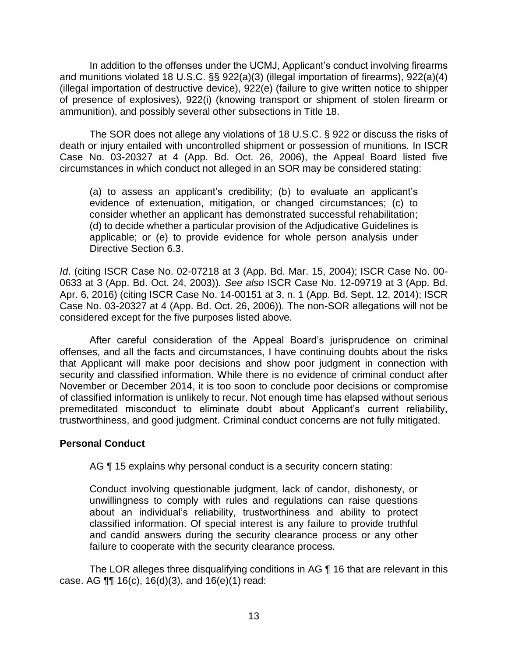In addition to the offenses under the UCMJ, Applicant's conduct involving firearms and munitions violated 18 U.S.C. §§ 922(a)(3) (illegal importation of firearms), 922(a)(4) (illegal importation of destructive device), 922(e) (failure to give written notice to shipper of presence of explosives), 922(i) (knowing transport or shipment of stolen firearm or ammunition), and possibly several other subsections in Title 18.

 death or injury entailed with uncontrolled shipment or possession of munitions. In ISCR Case No. 03-20327 at 4 (App. Bd. Oct. 26, 2006), the Appeal Board listed five The SOR does not allege any violations of 18 U.S.C. § 922 or discuss the risks of circumstances in which conduct not alleged in an SOR may be considered stating:

(a) to assess an applicant's credibility; (b) to evaluate an applicant's evidence of extenuation, mitigation, or changed circumstances; (c) to consider whether an applicant has demonstrated successful rehabilitation; (d) to decide whether a particular provision of the Adjudicative Guidelines is applicable; or (e) to provide evidence for whole person analysis under Directive Section 6.3.

*Id*. (citing ISCR Case No. 02-07218 at 3 (App. Bd. Mar. 15, 2004); ISCR Case No. 00- 0633 at 3 (App. Bd. Oct. 24, 2003)). *See also* ISCR Case No. 12-09719 at 3 (App. Bd. Apr. 6, 2016) (citing ISCR Case No. 14-00151 at 3, n. 1 (App. Bd. Sept. 12, 2014); ISCR Case No. 03-20327 at 4 (App. Bd. Oct. 26, 2006)). The non-SOR allegations will not be considered except for the five purposes listed above.

 After careful consideration of the Appeal Board's jurisprudence on criminal offenses, and all the facts and circumstances, I have continuing doubts about the risks that Applicant will make poor decisions and show poor judgment in connection with security and classified information. While there is no evidence of criminal conduct after November or December 2014, it is too soon to conclude poor decisions or compromise of classified information is unlikely to recur. Not enough time has elapsed without serious premeditated misconduct to eliminate doubt about Applicant's current reliability, trustworthiness, and good judgment. Criminal conduct concerns are not fully mitigated.

## **Personal Conduct**

AG ¶ 15 explains why personal conduct is a security concern stating:

Conduct involving questionable judgment, lack of candor, dishonesty, or unwillingness to comply with rules and regulations can raise questions about an individual's reliability, trustworthiness and ability to protect classified information. Of special interest is any failure to provide truthful and candid answers during the security clearance process or any other failure to cooperate with the security clearance process.

The LOR alleges three disqualifying conditions in AG ¶ 16 that are relevant in this case. AG ¶¶ 16(c), 16(d)(3), and 16(e)(1) read: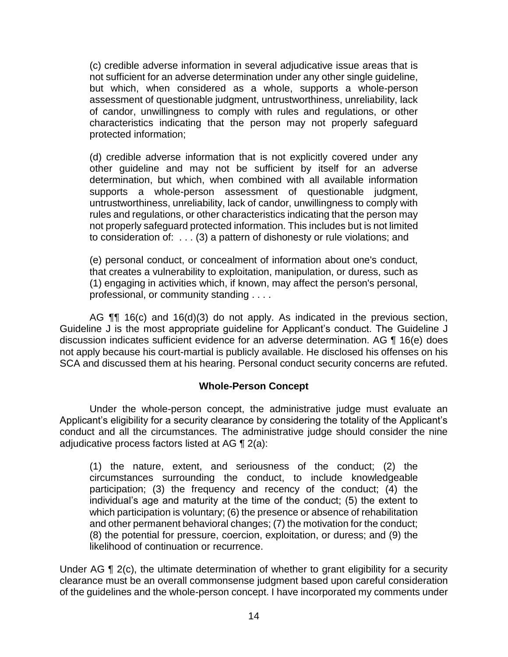(c) credible adverse information in several adjudicative issue areas that is not sufficient for an adverse determination under any other single guideline, but which, when considered as a whole, supports a whole-person of candor, unwillingness to comply with rules and regulations, or other characteristics indicating that the person may not properly safeguard assessment of questionable judgment, untrustworthiness, unreliability, lack protected information;

 (d) credible adverse information that is not explicitly covered under any other guideline and may not be sufficient by itself for an adverse determination, but which, when combined with all available information untrustworthiness, unreliability, lack of candor, unwillingness to comply with rules and regulations, or other characteristics indicating that the person may to consideration of: . . . (3) a pattern of dishonesty or rule violations; and supports a whole-person assessment of questionable judgment, not properly safeguard protected information. This includes but is not limited

(e) personal conduct, or concealment of information about one's conduct, that creates a vulnerability to exploitation, manipulation, or duress, such as (1) engaging in activities which, if known, may affect the person's personal, professional, or community standing . . . .

AG **¶** 16(c) and 16(d)(3) do not apply. As indicated in the previous section, Guideline J is the most appropriate guideline for Applicant's conduct. The Guideline J discussion indicates sufficient evidence for an adverse determination. AG ¶ 16(e) does not apply because his court-martial is publicly available. He disclosed his offenses on his SCA and discussed them at his hearing. Personal conduct security concerns are refuted.

## **Whole-Person Concept**

Under the whole-person concept, the administrative judge must evaluate an Applicant's eligibility for a security clearance by considering the totality of the Applicant's conduct and all the circumstances. The administrative judge should consider the nine adjudicative process factors listed at AG ¶ 2(a):

(1) the nature, extent, and seriousness of the conduct; (2) the circumstances surrounding the conduct, to include knowledgeable participation; (3) the frequency and recency of the conduct; (4) the individual's age and maturity at the time of the conduct; (5) the extent to which participation is voluntary; (6) the presence or absence of rehabilitation and other permanent behavioral changes; (7) the motivation for the conduct; (8) the potential for pressure, coercion, exploitation, or duress; and (9) the likelihood of continuation or recurrence.

Under AG ¶ 2(c), the ultimate determination of whether to grant eligibility for a security clearance must be an overall commonsense judgment based upon careful consideration of the guidelines and the whole-person concept. I have incorporated my comments under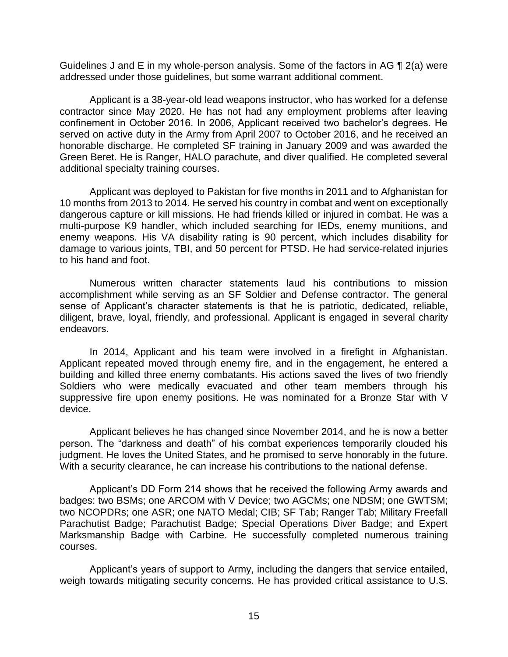Guidelines J and E in my whole-person analysis. Some of the factors in AG  $\P$  2(a) were addressed under those guidelines, but some warrant additional comment.

 contractor since May 2020. He has not had any employment problems after leaving confinement in October 2016. In 2006, Applicant received two bachelor's degrees. He served on active duty in the Army from April 2007 to October 2016, and he received an honorable discharge. He completed SF training in January 2009 and was awarded the Green Beret. He is Ranger, HALO parachute, and diver qualified. He completed several Applicant is a 38-year-old lead weapons instructor, who has worked for a defense additional specialty training courses.

 Applicant was deployed to Pakistan for five months in 2011 and to Afghanistan for 10 months from 2013 to 2014. He served his country in combat and went on exceptionally dangerous capture or kill missions. He had friends killed or injured in combat. He was a multi-purpose K9 handler, which included searching for IEDs, enemy munitions, and enemy weapons. His VA disability rating is 90 percent, which includes disability for damage to various joints, TBI, and 50 percent for PTSD. He had service-related injuries to his hand and foot.

 Numerous written character statements laud his contributions to mission accomplishment while serving as an SF Soldier and Defense contractor. The general sense of Applicant's character statements is that he is patriotic, dedicated, reliable, diligent, brave, loyal, friendly, and professional. Applicant is engaged in several charity endeavors.

 In 2014, Applicant and his team were involved in a firefight in Afghanistan. Applicant repeated moved through enemy fire, and in the engagement, he entered a building and killed three enemy combatants. His actions saved the lives of two friendly Soldiers who were medically evacuated and other team members through his suppressive fire upon enemy positions. He was nominated for a Bronze Star with V device.

Applicant believes he has changed since November 2014, and he is now a better person. The "darkness and death" of his combat experiences temporarily clouded his judgment. He loves the United States, and he promised to serve honorably in the future. With a security clearance, he can increase his contributions to the national defense.

 Applicant's DD Form 214 shows that he received the following Army awards and badges: two BSMs; one ARCOM with V Device; two AGCMs; one NDSM; one GWTSM; two NCOPDRs; one ASR; one NATO Medal; CIB; SF Tab; Ranger Tab; Military Freefall Marksmanship Badge with Carbine. He successfully completed numerous training Parachutist Badge; Parachutist Badge; Special Operations Diver Badge; and Expert courses.

 Applicant's years of support to Army, including the dangers that service entailed, weigh towards mitigating security concerns. He has provided critical assistance to U.S.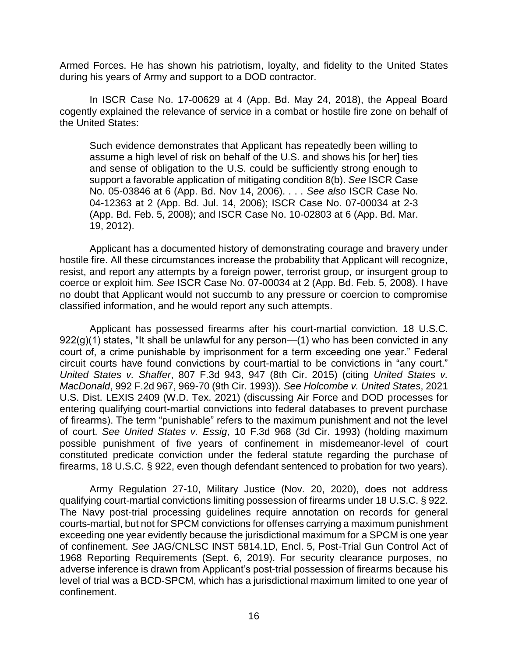Armed Forces. He has shown his patriotism, loyalty, and fidelity to the United States during his years of Army and support to a DOD contractor.

 In ISCR Case No. 17-00629 at 4 (App. Bd. May 24, 2018), the Appeal Board cogently explained the relevance of service in a combat or hostile fire zone on behalf of the United States:

 Such evidence demonstrates that Applicant has repeatedly been willing to and sense of obligation to the U.S. could be sufficiently strong enough to support a favorable application of mitigating condition 8(b). *See* ISCR Case No. 05-03846 at 6 (App. Bd. Nov 14, 2006). . . . *See also* ISCR Case No. 04-12363 at 2 (App. Bd. Jul. 14, 2006); ISCR Case No. 07-00034 at 2-3 (App. Bd. Feb. 5, 2008); and ISCR Case No. 10-02803 at 6 (App. Bd. Mar. assume a high level of risk on behalf of the U.S. and shows his [or her] ties 19, 2012).

 Applicant has a documented history of demonstrating courage and bravery under hostile fire. All these circumstances increase the probability that Applicant will recognize, resist, and report any attempts by a foreign power, terrorist group, or insurgent group to no doubt that Applicant would not succumb to any pressure or coercion to compromise classified information, and he would report any such attempts. coerce or exploit him. *See* ISCR Case No. 07-00034 at 2 (App. Bd. Feb. 5, 2008). I have

Applicant has possessed firearms after his court-martial conviction. 18 U.S.C.  $922(g)(1)$  states, "It shall be unlawful for any person—(1) who has been convicted in any court of, a crime punishable by imprisonment for a term exceeding one year." Federal circuit courts have found convictions by court-martial to be convictions in "any court." *United States v. Shaffer*, 807 F.3d 943, 947 (8th Cir. 2015) (citing *United States v. MacDonald*, 992 F.2d 967, 969-70 (9th Cir. 1993)). *See Holcombe v. United States*, 2021 U.S. Dist. LEXIS 2409 (W.D. Tex. 2021) (discussing Air Force and DOD processes for entering qualifying court-martial convictions into federal databases to prevent purchase of firearms). The term "punishable" refers to the maximum punishment and not the level of court. *See United States v. Essig*, 10 F.3d 968 (3d Cir. 1993) (holding maximum possible punishment of five years of confinement in misdemeanor-level of court constituted predicate conviction under the federal statute regarding the purchase of firearms, 18 U.S.C. § 922, even though defendant sentenced to probation for two years).

 Army Regulation 27-10, Military Justice (Nov. 20, 2020), does not address qualifying court-martial convictions limiting possession of firearms under 18 U.S.C. § 922. The Navy post-trial processing guidelines require annotation on records for general courts-martial, but not for SPCM convictions for offenses carrying a maximum punishment exceeding one year evidently because the jurisdictional maximum for a SPCM is one year 1968 Reporting Requirements (Sept. 6, 2019). For security clearance purposes, no adverse inference is drawn from Applicant's post-trial possession of firearms because his level of trial was a BCD-SPCM, which has a jurisdictional maximum limited to one year of of confinement. *See* JAG/CNLSC INST 5814.1D, Encl. 5, Post-Trial Gun Control Act of confinement.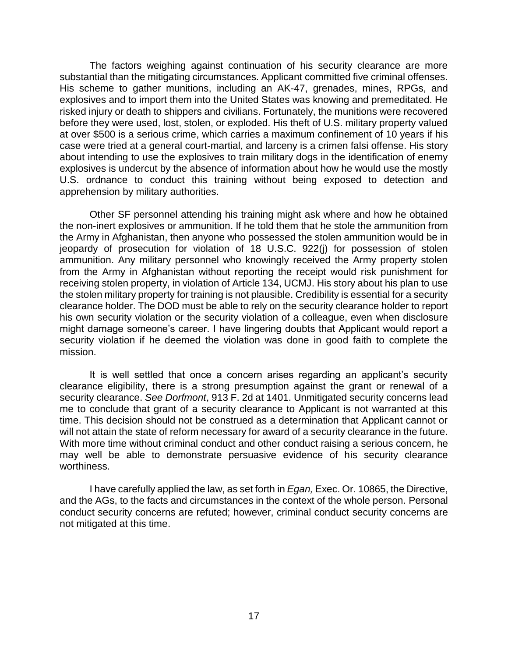The factors weighing against continuation of his security clearance are more substantial than the mitigating circumstances. Applicant committed five criminal offenses. His scheme to gather munitions, including an AK-47, grenades, mines, RPGs, and explosives and to import them into the United States was knowing and premeditated. He risked injury or death to shippers and civilians. Fortunately, the munitions were recovered before they were used, lost, stolen, or exploded. His theft of U.S. military property valued at over \$500 is a serious crime, which carries a maximum confinement of 10 years if his case were tried at a general court-martial, and larceny is a crimen falsi offense. His story about intending to use the explosives to train military dogs in the identification of enemy explosives is undercut by the absence of information about how he would use the mostly U.S. ordnance to conduct this training without being exposed to detection and apprehension by military authorities.

 Other SF personnel attending his training might ask where and how he obtained the non-inert explosives or ammunition. If he told them that he stole the ammunition from the Army in Afghanistan, then anyone who possessed the stolen ammunition would be in jeopardy of prosecution for violation of 18 U.S.C. 922(j) for possession of stolen ammunition. Any military personnel who knowingly received the Army property stolen from the Army in Afghanistan without reporting the receipt would risk punishment for receiving stolen property, in violation of Article 134, UCMJ. His story about his plan to use the stolen military property for training is not plausible. Credibility is essential for a security clearance holder. The DOD must be able to rely on the security clearance holder to report his own security violation or the security violation of a colleague, even when disclosure might damage someone's career. I have lingering doubts that Applicant would report a security violation if he deemed the violation was done in good faith to complete the mission.

 It is well settled that once a concern arises regarding an applicant's security clearance eligibility, there is a strong presumption against the grant or renewal of a security clearance. *See Dorfmont*, 913 F. 2d at 1401. Unmitigated security concerns lead me to conclude that grant of a security clearance to Applicant is not warranted at this time. This decision should not be construed as a determination that Applicant cannot or will not attain the state of reform necessary for award of a security clearance in the future. With more time without criminal conduct and other conduct raising a serious concern, he may well be able to demonstrate persuasive evidence of his security clearance worthiness.

 I have carefully applied the law, as set forth in *Egan,* Exec. Or. 10865, the Directive, and the AGs, to the facts and circumstances in the context of the whole person. Personal conduct security concerns are refuted; however, criminal conduct security concerns are not mitigated at this time.